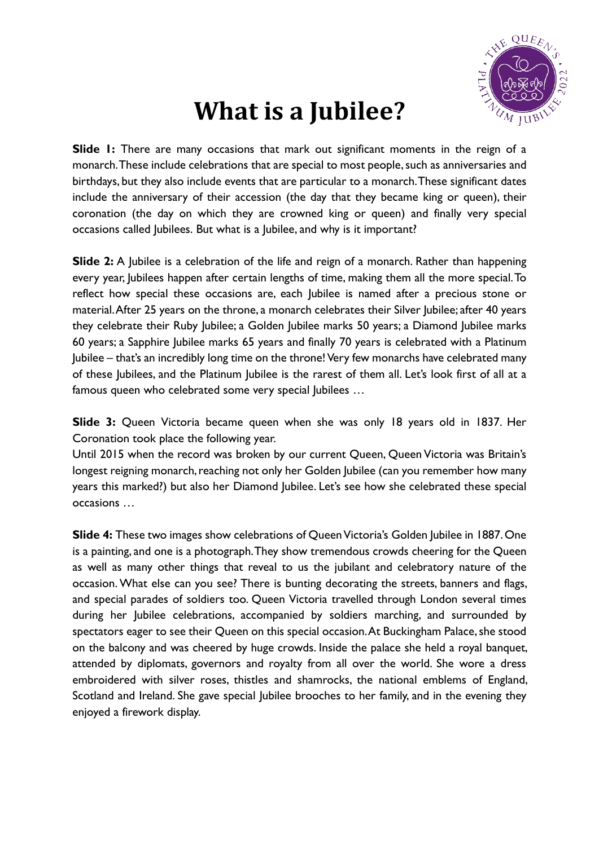

## **What is a Jubilee?**

**Slide 1:** There are many occasions that mark out significant moments in the reign of a monarch. These include celebrations that are special to most people, such as anniversaries and birthdays, but they also include events that are particular to a monarch. These significant dates include the anniversary of their accession (the day that they became king or queen), their coronation (the day on which they are crowned king or queen) and finally very special occasions called Jubilees. But what is a Jubilee, and why is it important?

**Slide 2:** A Jubilee is a celebration of the life and reign of a monarch. Rather than happening every year, Jubilees happen after certain lengths of time, making them all the more special. To reflect how special these occasions are, each Jubilee is named after a precious stone or material. After 25 years on the throne, a monarch celebrates their Silver Jubilee; after 40 years they celebrate their Ruby Jubilee; a Golden Jubilee marks 50 years; a Diamond Jubilee marks 60 years; a Sapphire Jubilee marks 65 years and finally 70 years is celebrated with a Platinum Jubilee – that's an incredibly long time on the throne!Very few monarchs have celebrated many of these Jubilees, and the Platinum Jubilee is the rarest of them all. Let's look first of all at a famous queen who celebrated some very special Jubilees …

**Slide 3:** Queen Victoria became queen when she was only 18 years old in 1837. Her Coronation took place the following year.

Until 2015 when the record was broken by our current Queen, Queen Victoria was Britain's longest reigning monarch, reaching not only her Golden Jubilee (can you remember how many years this marked?) but also her Diamond Jubilee. Let's see how she celebrated these special occasions …

**Slide 4:** These two images show celebrations of Queen Victoria's Golden Jubilee in 1887. One is a painting, and one is a photograph. They show tremendous crowds cheering for the Queen as well as many other things that reveal to us the jubilant and celebratory nature of the occasion. What else can you see? There is bunting decorating the streets, banners and flags, and special parades of soldiers too. Queen Victoria travelled through London several times during her Jubilee celebrations, accompanied by soldiers marching, and surrounded by spectators eager to see their Queen on this special occasion. At Buckingham Palace, she stood on the balcony and was cheered by huge crowds. Inside the palace she held a royal banquet, attended by diplomats, governors and royalty from all over the world. She wore a dress embroidered with silver roses, thistles and shamrocks, the national emblems of England, Scotland and Ireland. She gave special Jubilee brooches to her family, and in the evening they enjoyed a firework display.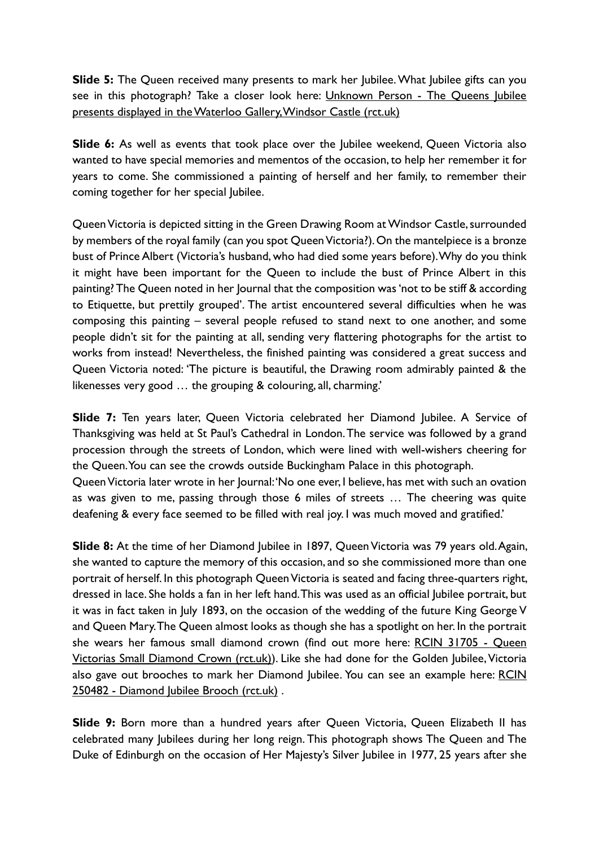**Slide 5:** The Queen received many presents to mark her Jubilee. What Jubilee gifts can you see in this photograph? Take a closer look here: Unknown Person - [The Queens Jubilee](https://www.rct.uk/collection/2916023/the-queens-jubilee-presents-displayed-in-the-waterloo-gallery-windsor-castle)  [presents displayed in the Waterloo Gallery, Windsor Castle \(rct.uk\)](https://www.rct.uk/collection/2916023/the-queens-jubilee-presents-displayed-in-the-waterloo-gallery-windsor-castle)

**Slide 6:** As well as events that took place over the *Jubilee* weekend, Queen Victoria also wanted to have special memories and mementos of the occasion, to help her remember it for years to come. She commissioned a painting of herself and her family, to remember their coming together for her special Jubilee.

Queen Victoria is depicted sitting in the Green Drawing Room at Windsor Castle, surrounded by members of the royal family (can you spot Queen Victoria?). On the mantelpiece is a bronze bust of Prince Albert (Victoria's husband, who had died some years before). Why do you think it might have been important for the Queen to include the bust of Prince Albert in this painting?The Queen noted in her Journal that the composition was 'not to be stiff & according to Etiquette, but prettily grouped'. The artist encountered several difficulties when he was composing this painting – several people refused to stand next to one another, and some people didn't sit for the painting at all, sending very flattering photographs for the artist to works from instead! Nevertheless, the finished painting was considered a great success and Queen Victoria noted: 'The picture is beautiful, the Drawing room admirably painted & the likenesses very good … the grouping & colouring, all, charming.'

**Slide 7:** Ten years later, Queen Victoria celebrated her Diamond Jubilee. A Service of Thanksgiving was held at St Paul's Cathedral in London.The service was followed by a grand procession through the streets of London, which were lined with well-wishers cheering for the Queen. You can see the crowds outside Buckingham Palace in this photograph.

Queen Victoria later wrote in her Journal: 'No one ever, I believe, has met with such an ovation as was given to me, passing through those 6 miles of streets … The cheering was quite deafening & every face seemed to be filled with real joy. I was much moved and gratified.'

**Slide 8:** At the time of her Diamond Jubilee in 1897, Queen Victoria was 79 years old. Again, she wanted to capture the memory of this occasion, and so she commissioned more than one portrait of herself. In this photograph Queen Victoria is seated and facing three-quarters right, dressed in lace. She holds a fan in her left hand. This was used as an official Jubilee portrait, but it was in fact taken in July 1893, on the occasion of the wedding of the future King George V and Queen Mary. The Queen almost looks as though she has a spotlight on her. In the portrait she wears her famous small diamond crown (find out more here: [RCIN 31705 -](https://www.rct.uk/collection/themes/trails/diamonds-in-the-royal-collection/queen-victorias-small-diamond-crown) Queen [Victorias](https://www.rct.uk/collection/themes/trails/diamonds-in-the-royal-collection/queen-victorias-small-diamond-crown) [Small Diamond Crown \(rct.uk\)\)](https://www.rct.uk/collection/themes/trails/diamonds-in-the-royal-collection/queen-victorias-small-diamond-crown). Like she had done for the Golden Jubilee, Victoria also gave out brooches to mark her Diamond Jubilee. You can see an example here: RCIN 250482 - [Diamond Jubilee Brooch \(rct.uk\)](https://www.rct.uk/collection/themes/exhibitions/russia-royalty-the-romanovs/the-queens-gallery-buckingham-palace/diamond-jubilee-brooch) .

**Slide 9:** Born more than a hundred years after Queen Victoria, Queen Elizabeth II has celebrated many Jubilees during her long reign. This photograph shows The Queen and The Duke of Edinburgh on the occasion of Her Majesty's Silver Jubilee in 1977, 25 years after she